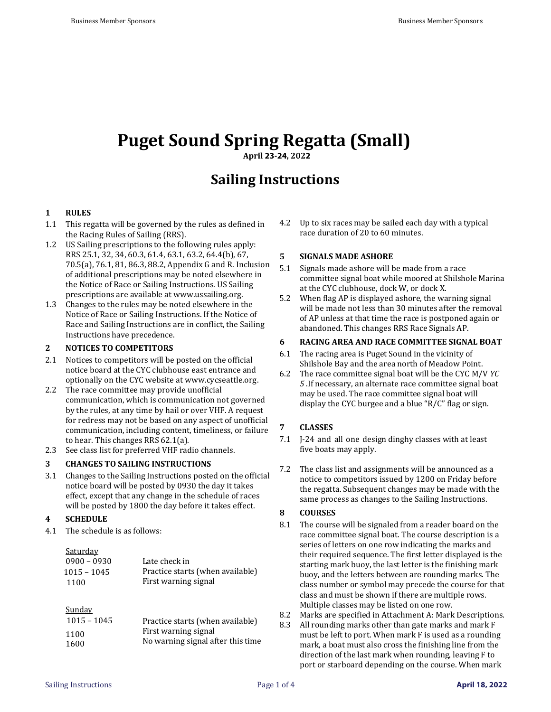# **Puget Sound Spring Regatta (Small)**

**April 23-24, 2022**

# **Sailing Instructions**

# **1 RULES**

- 1.1 This regatta will be governed by the rules as defined in the Racing Rules of Sailing (RRS).
- 1.2 US Sailing prescriptions to the following rules apply: RRS 25.1, 32, 34, 60.3, 61.4, 63.1, 63.2, 64.4(b), 67, 70.5(a), 76.1, 81, 86.3, 88.2, Appendix G and R. Inclusion of additional prescriptions may be noted elsewhere in the Notice of Race or Sailing Instructions. US Sailing prescriptions are available at [www.ussailing.org.](http://www.ussailing.org/)
- 1.3 Changes to the rules may be noted elsewhere in the Notice of Race or Sailing Instructions. If the Notice of Race and Sailing Instructions are in conflict, the Sailing Instructions have precedence.

# **2 NOTICES TO COMPETITORS**

- 2.1 Notices to competitors will be posted on the official notice board at the CYC clubhouse east entrance and optionally on the CYC website a[t www.cycseattle.org.](http://www.cycseattle.org/)
- 2.2 The race committee may provide unofficial communication, which is communication not governed by the rules, at any time by hail or over VHF. A request for redress may not be based on any aspect of unofficial communication, including content, timeliness, or failure to hear. This changes RRS 62.1(a).
- 2.3 See class list for preferred VHF radio channels.

#### **3 CHANGES TO SAILING INSTRUCTIONS**

3.1 Changes to the Sailing Instructions posted on the official notice board will be posted by 0930 the day it takes effect, except that any change in the schedule of races will be posted by 1800 the day before it takes effect.

# **4 SCHEDULE**

4.1 The schedule is as follows:

| Saturday      |                                  |
|---------------|----------------------------------|
| $0900 - 0930$ | Late check in                    |
| $1015 - 1045$ | Practice starts (when available) |
| 1100          | First warning signal             |

# Sunday

| $1015 - 1045$ | Practice starts (when available)                          |
|---------------|-----------------------------------------------------------|
| 1100          | First warning signal<br>No warning signal after this time |
| 1600          |                                                           |

4.2 Up to six races may be sailed each day with a typical race duration of 20 to 60 minutes.

#### **5 SIGNALS MADE ASHORE**

- 5.1 Signals made ashore will be made from a race committee signal boat while moored at Shilshole Marina at the CYC clubhouse, dock W, or dock X.
- 5.2 When flag AP is displayed ashore, the warning signal will be made not less than 30 minutes after the removal of AP unless at that time the race is postponed again or abandoned. This changes RRS Race Signals AP.

# **6 RACING AREA AND RACE COMMITTEE SIGNAL BOAT**

- 6.1 The racing area is Puget Sound in the vicinity of Shilshole Bay and the area north of Meadow Point.
- 6.2 The race committee signal boat will be the CYC M/V *YC 5* .If necessary, an alternate race committee signal boat may be used. The race committee signal boat will display the CYC burgee and a blue "R/C" flag or sign.

# **7 CLASSES**

- 7.1 J-24 and all one design dinghy classes with at least five boats may apply.
- 7.2 The class list and assignments will be announced as a notice to competitors issued by 1200 on Friday before the regatta. Subsequent changes may be made with the same process as changes to the Sailing Instructions.

#### **8 COURSES**

- 8.1 The course will be signaled from a reader board on the race committee signal boat. The course description is a series of letters on one row indicating the marks and their required sequence. The first letter displayed is the starting mark buoy, the last letter is the finishing mark buoy, and the letters between are rounding marks. The class number or symbol may precede the course for that class and must be shown if there are multiple rows. Multiple classes may be listed on one row.
- 8.2 Marks are specified in Attachment A: Mark Descriptions.
- 8.3 All rounding marks other than gate marks and mark F must be left to port. When mark F is used as a rounding mark, a boat must also cross the finishing line from the direction of the last mark when rounding, leaving F to port or starboard depending on the course. When mark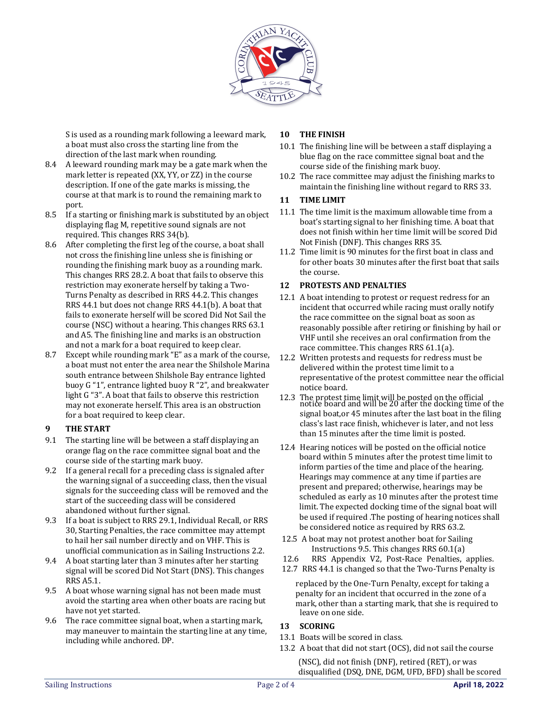

S is used as a rounding mark following a leeward mark, a boat must also cross the starting line from the direction of the last mark when rounding.

- 8.4 A leeward rounding mark may be a gate mark when the mark letter is repeated (XX, YY, or ZZ) in the course description. If one of the gate marks is missing, the course at that mark is to round the remaining mark to port.
- 8.5 If a starting or finishing mark is substituted by an object displaying flag M, repetitive sound signals are not required. This changes RRS 34(b).
- 8.6 After completing the first leg of the course, a boat shall not cross the finishing line unless she is finishing or rounding the finishing mark buoy as a rounding mark. This changes RRS 28.2. A boat that fails to observe this restriction may exonerate herself by taking a Two-Turns Penalty as described in RRS 44.2. This changes RRS 44.1 but does not change RRS 44.1(b). A boat that fails to exonerate herself will be scored Did Not Sail the course (NSC) without a hearing. This changes RRS 63.1 and A5. The finishing line and marks is an obstruction and not a mark for a boat required to keep clear.
- 8.7 Except while rounding mark "E" as a mark of the course, a boat must not enter the area near the Shilshole Marina south entrance between Shilshole Bay entrance lighted buoy G "1", entrance lighted buoy R "2", and breakwater light G "3". A boat that fails to observe this restriction may not exonerate herself. This area is an obstruction for a boat required to keep clear.

#### **9 THE START**

- 9.1 The starting line will be between a staff displaying an orange flag on the race committee signal boat and the course side of the starting mark buoy.
- 9.2 If a general recall for a preceding class is signaled after the warning signal of a succeeding class, then the visual signals for the succeeding class will be removed and the start of the succeeding class will be considered abandoned without further signal.
- 9.3 If a boat is subject to RRS 29.1, Individual Recall, or RRS 30, Starting Penalties, the race committee may attempt to hail her sail number directly and on VHF. This is unofficial communication as in Sailing Instructions 2.2.
- 9.4 A boat starting later than 3 minutes after her starting signal will be scored Did Not Start (DNS). This changes RRS A5.1.
- 9.5 A boat whose warning signal has not been made must avoid the starting area when other boats are racing but have not yet started.
- 9.6 The race committee signal boat, when a starting mark, may maneuver to maintain the starting line at any time, including while anchored. DP.

# **10 THE FINISH**

- 10.1 The finishing line will be between a staff displaying a blue flag on the race committee signal boat and the course side of the finishing mark buoy.
- 10.2 The race committee may adjust the finishing marks to maintain the finishing line without regard to RRS 33.

# **11 TIME LIMIT**

- 11.1 The time limit is the maximum allowable time from a boat's starting signal to her finishing time. A boat that does not finish within her time limit will be scored Did Not Finish (DNF). This changes RRS 35.
- 11.2 Time limit is 90 minutes for the first boat in class and for other boats 30 minutes after the first boat that sails the course.

# **12 PROTESTS AND PENALTIES**

- 12.1 A boat intending to protest or request redress for an incident that occurred while racing must orally notify the race committee on the signal boat as soon as reasonably possible after retiring or finishing by hail or VHF until she receives an oral confirmation from the race committee. This changes RRS 61.1(a).
- 12.2 Written protests and requests for redress must be delivered within the protest time limit to a representative of the protest committee near the official notice board.
- 12.3 The protest time limit will be posted on the official notice board and will be 20 after the docking time of the signal boat,or 45 minutes after the last boat in the filing class's last race finish, whichever is later, and not less than 15 minutes after the time limit is posted.
- 12.4 Hearing notices will be posted on the official notice board within 5 minutes after the protest time limit to inform parties of the time and place of the hearing. Hearings may commence at any time if parties are present and prepared; otherwise, hearings may be scheduled as early as 10 minutes after the protest time limit. The expected docking time of the signal boat will be used if required .The posting of hearing notices shall be considered notice as required by RRS 63.2.
- 12.5 A boat may not protest another boat for Sailing Instructions 9.5. This changes RRS 60.1(a)
- 12.6 RRS Appendix V2, Post-Race Penalties, applies.
- 12.7 RRS 44.1 is changed so that the Two-Turns Penalty is

replaced by the One-Turn Penalty, except for taking a penalty for an incident that occurred in the zone of a mark, other than a starting mark, that she is required to leave on one side.

#### **13 SCORING**

- 13.1 Boats will be scored in class.
- 13.2 A boat that did not start (OCS), did not sail the course

(NSC), did not finish (DNF), retired (RET), or was disqualified (DSQ, DNE, DGM, UFD, BFD) shall be scored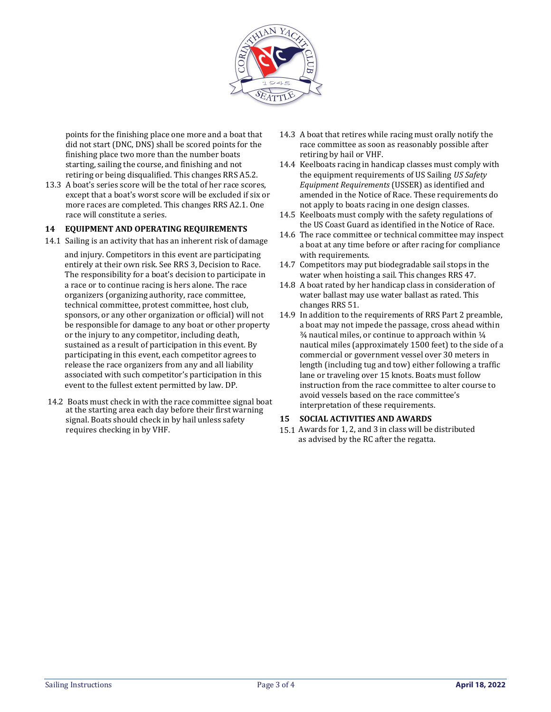

points for the finishing place one more and a boat that did not start (DNC, DNS) shall be scored points for the finishing place two more than the number boats starting, sailing the course, and finishing and not retiring or being disqualified. This changes RRS A5.2.

13.3 A boat's series score will be the total of her race scores, except that a boat's worst score will be excluded if six or more races are completed. This changes RRS A2.1. One race will constitute a series.

#### **14 EQUIPMENT AND OPERATING REQUIREMENTS**

14.1 Sailing is an activity that has an inherent risk of damage

and injury. Competitors in this event are participating entirely at their own risk. See RRS 3, Decision to Race. The responsibility for a boat's decision to participate in a race or to continue racing is hers alone. The race organizers (organizing authority, race committee, technical committee, protest committee, host club, sponsors, or any other organization or official) will not be responsible for damage to any boat or other property or the injury to any competitor, including death, sustained as a result of participation in this event. By participating in this event, each competitor agrees to release the race organizers from any and all liability associated with such competitor's participation in this event to the fullest extent permitted by law. DP.

14.2 Boats must check in with the race committee signal boat at the starting area each day before their first warning signal. Boats should check in by hail unless safety requires checking in by VHF.

- 14.3 A boat that retires while racing must orally notify the race committee as soon as reasonably possible after retiring by hail or VHF.
- 14.4 Keelboats racing in handicap classes must comply with the equipment requirements of US Sailing *US Safety Equipment Requirements* (USSER) as identified and amended in the Notice of Race. These requirements do not apply to boats racing in one design classes.
- 14.5 Keelboats must comply with the safety regulations of the US Coast Guard as identified in the Notice of Race.
- 14.6 The race committee or technical committee may inspect a boat at any time before or after racing for compliance with requirements.
- 14.7 Competitors may put biodegradable sail stops in the water when hoisting a sail. This changes RRS 47.
- 14.8 A boat rated by her handicap class in consideration of water ballast may use water ballast as rated. This changes RRS 51.
- 14.9 In addition to the requirements of RRS Part 2 preamble, a boat may not impede the passage, cross ahead within  $\frac{3}{4}$  nautical miles, or continue to approach within  $\frac{1}{4}$ nautical miles (approximately 1500 feet) to the side of a commercial or government vessel over 30 meters in length (including tug and tow) either following a traffic lane or traveling over 15 knots. Boats must follow instruction from the race committee to alter course to avoid vessels based on the race committee's interpretation of these requirements.

#### **15 SOCIAL ACTIVITIES AND AWARDS**

15.1 Awards for 1, 2, and 3 in class will be distributed as advised by the RC after the regatta.